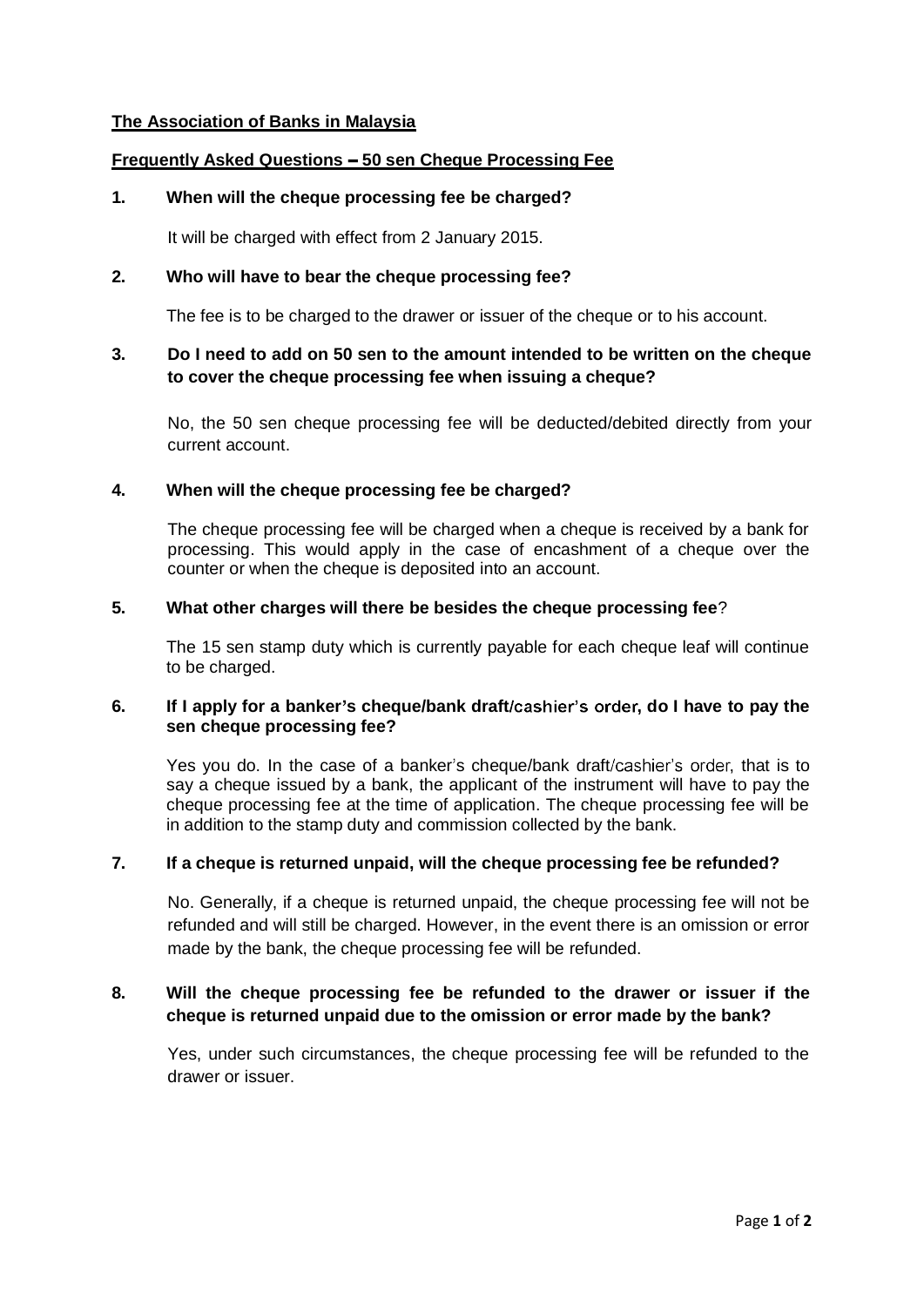## **The Association of Banks in Malaysia**

# **Frequently Asked Questions - 50 sen Cheque Processing Fee**

## **1. When will the cheque processing fee be charged?**

It will be charged with effect from 2 January 2015.

## **2. Who will have to bear the cheque processing fee?**

The fee is to be charged to the drawer or issuer of the cheque or to his account.

## **3. Do I need to add on 50 sen to the amount intended to be written on the cheque to cover the cheque processing fee when issuing a cheque?**

No, the 50 sen cheque processing fee will be deducted/debited directly from your current account.

#### **4. When will the cheque processing fee be charged?**

The cheque processing fee will be charged when a cheque is received by a bank for processing. This would apply in the case of encashment of a cheque over the counter or when the cheque is deposited into an account.

#### **5. What other charges will there be besides the cheque processing fee**?

The 15 sen stamp duty which is currently payable for each cheque leaf will continue to be charged.

#### 6. If I apply for a banker's cheque/bank draft/cashier's order, do I have to pay the **sen cheque processing fee?**

Yes you do. In the case of a banker's cheque/bank draft/cashier's order, that is to say a cheque issued by a bank, the applicant of the instrument will have to pay the cheque processing fee at the time of application. The cheque processing fee will be in addition to the stamp duty and commission collected by the bank.

# **7. If a cheque is returned unpaid, will the cheque processing fee be refunded?**

No. Generally, if a cheque is returned unpaid, the cheque processing fee will not be refunded and will still be charged. However, in the event there is an omission or error made by the bank, the cheque processing fee will be refunded.

# **8. Will the cheque processing fee be refunded to the drawer or issuer if the cheque is returned unpaid due to the omission or error made by the bank?**

Yes, under such circumstances, the cheque processing fee will be refunded to the drawer or issuer.